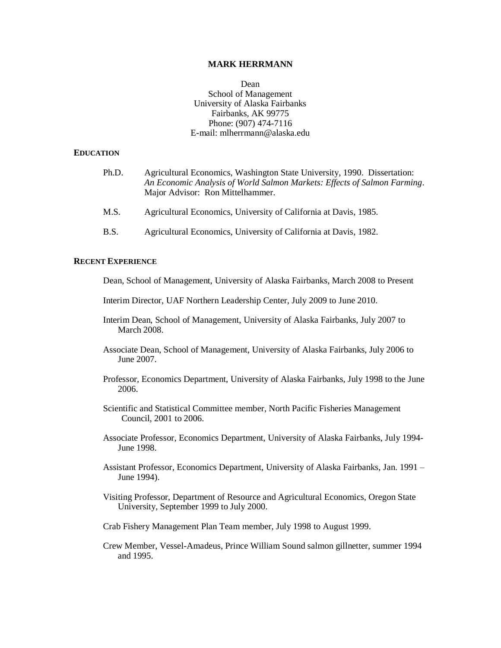### **MARK HERRMANN**

Dean School of Management University of Alaska Fairbanks Fairbanks, AK 99775 Phone: (907) 474-7116 E-mail: mlherrmann@alaska.edu

#### **EDUCATION**

| Ph.D.       | Agricultural Economics, Washington State University, 1990. Dissertation:<br>An Economic Analysis of World Salmon Markets: Effects of Salmon Farming.<br>Major Advisor: Ron Mittelhammer. |
|-------------|------------------------------------------------------------------------------------------------------------------------------------------------------------------------------------------|
| M.S.        | Agricultural Economics, University of California at Davis, 1985.                                                                                                                         |
| <b>B.S.</b> | Agricultural Economics, University of California at Davis, 1982.                                                                                                                         |

# **RECENT EXPERIENCE**

Dean, School of Management, University of Alaska Fairbanks, March 2008 to Present

- Interim Director, UAF Northern Leadership Center, July 2009 to June 2010.
- Interim Dean, School of Management, University of Alaska Fairbanks, July 2007 to March 2008.
- Associate Dean, School of Management, University of Alaska Fairbanks, July 2006 to June 2007.
- Professor, Economics Department, University of Alaska Fairbanks, July 1998 to the June 2006.
- Scientific and Statistical Committee member, North Pacific Fisheries Management Council, 2001 to 2006.
- Associate Professor, Economics Department, University of Alaska Fairbanks, July 1994- June 1998.
- Assistant Professor, Economics Department, University of Alaska Fairbanks, Jan. 1991 June 1994).
- Visiting Professor, Department of Resource and Agricultural Economics, Oregon State University, September 1999 to July 2000.
- Crab Fishery Management Plan Team member, July 1998 to August 1999.
- Crew Member, Vessel-Amadeus, Prince William Sound salmon gillnetter, summer 1994 and 1995.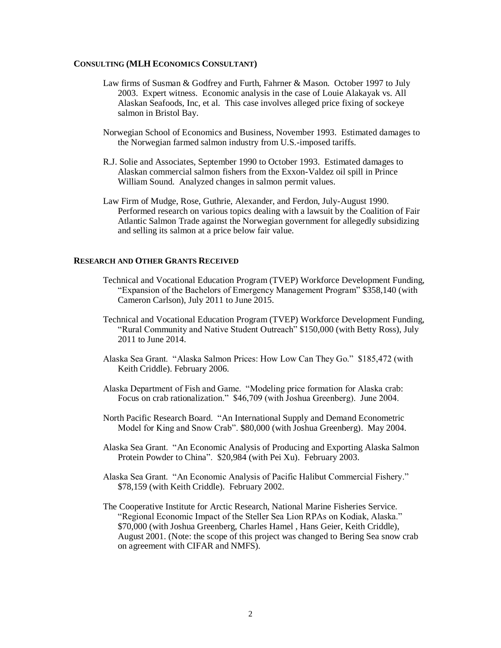#### **CONSULTING (MLH ECONOMICS CONSULTANT)**

- Law firms of Susman & Godfrey and Furth, Fahrner & Mason. October 1997 to July 2003. Expert witness. Economic analysis in the case of Louie Alakayak vs. All Alaskan Seafoods, Inc, et al. This case involves alleged price fixing of sockeye salmon in Bristol Bay.
- Norwegian School of Economics and Business, November 1993. Estimated damages to the Norwegian farmed salmon industry from U.S.-imposed tariffs.
- R.J. Solie and Associates, September 1990 to October 1993. Estimated damages to Alaskan commercial salmon fishers from the Exxon-Valdez oil spill in Prince William Sound. Analyzed changes in salmon permit values.
- Law Firm of Mudge, Rose, Guthrie, Alexander, and Ferdon, July-August 1990. Performed research on various topics dealing with a lawsuit by the Coalition of Fair Atlantic Salmon Trade against the Norwegian government for allegedly subsidizing and selling its salmon at a price below fair value.

## **RESEARCH AND OTHER GRANTS RECEIVED**

- Technical and Vocational Education Program (TVEP) Workforce Development Funding, "Expansion of the Bachelors of Emergency Management Program" \$358,140 (with Cameron Carlson), July 2011 to June 2015.
- Technical and Vocational Education Program (TVEP) Workforce Development Funding, "Rural Community and Native Student Outreach" \$150,000 (with Betty Ross), July 2011 to June 2014.
- Alaska Sea Grant. "Alaska Salmon Prices: How Low Can They Go." \$185,472 (with Keith Criddle). February 2006.
- Alaska Department of Fish and Game. "Modeling price formation for Alaska crab: Focus on crab rationalization." \$46,709 (with Joshua Greenberg). June 2004.
- North Pacific Research Board. "An International Supply and Demand Econometric Model for King and Snow Crab". \$80,000 (with Joshua Greenberg). May 2004.
- Alaska Sea Grant. "An Economic Analysis of Producing and Exporting Alaska Salmon Protein Powder to China". \$20,984 (with Pei Xu). February 2003.
- Alaska Sea Grant. "An Economic Analysis of Pacific Halibut Commercial Fishery." \$78,159 (with Keith Criddle). February 2002.
- The Cooperative Institute for Arctic Research, National Marine Fisheries Service. "Regional Economic Impact of the Steller Sea Lion RPAs on Kodiak, Alaska." \$70,000 (with Joshua Greenberg, Charles Hamel , Hans Geier, Keith Criddle), August 2001. (Note: the scope of this project was changed to Bering Sea snow crab on agreement with CIFAR and NMFS).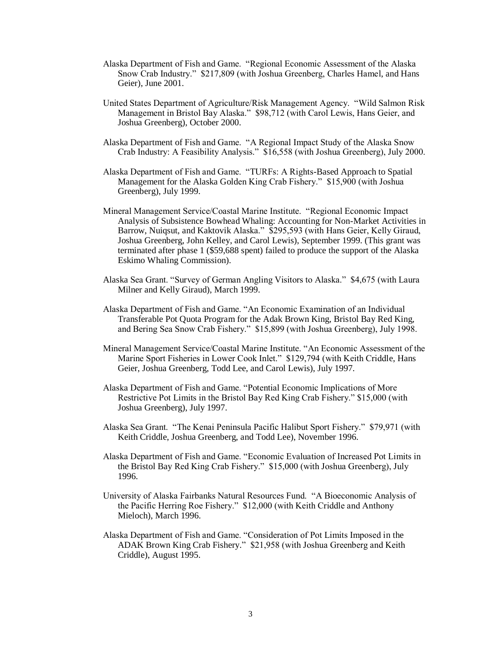- Alaska Department of Fish and Game. "Regional Economic Assessment of the Alaska Snow Crab Industry." \$217,809 (with Joshua Greenberg, Charles Hamel, and Hans Geier), June 2001.
- United States Department of Agriculture/Risk Management Agency. "Wild Salmon Risk Management in Bristol Bay Alaska." \$98,712 (with Carol Lewis, Hans Geier, and Joshua Greenberg), October 2000.
- Alaska Department of Fish and Game. "A Regional Impact Study of the Alaska Snow Crab Industry: A Feasibility Analysis." \$16,558 (with Joshua Greenberg), July 2000.
- Alaska Department of Fish and Game. "TURFs: A Rights-Based Approach to Spatial Management for the Alaska Golden King Crab Fishery." \$15,900 (with Joshua Greenberg), July 1999.
- Mineral Management Service/Coastal Marine Institute. "Regional Economic Impact Analysis of Subsistence Bowhead Whaling: Accounting for Non-Market Activities in Barrow, Nuiqsut, and Kaktovik Alaska." \$295,593 (with Hans Geier, Kelly Giraud, Joshua Greenberg, John Kelley, and Carol Lewis), September 1999. (This grant was terminated after phase 1 (\$59,688 spent) failed to produce the support of the Alaska Eskimo Whaling Commission).
- Alaska Sea Grant. "Survey of German Angling Visitors to Alaska." \$4,675 (with Laura Milner and Kelly Giraud), March 1999.
- Alaska Department of Fish and Game. "An Economic Examination of an Individual Transferable Pot Quota Program for the Adak Brown King, Bristol Bay Red King, and Bering Sea Snow Crab Fishery." \$15,899 (with Joshua Greenberg), July 1998.
- Mineral Management Service/Coastal Marine Institute. "An Economic Assessment of the Marine Sport Fisheries in Lower Cook Inlet." \$129,794 (with Keith Criddle, Hans Geier, Joshua Greenberg, Todd Lee, and Carol Lewis), July 1997.
- Alaska Department of Fish and Game. "Potential Economic Implications of More Restrictive Pot Limits in the Bristol Bay Red King Crab Fishery." \$15,000 (with Joshua Greenberg), July 1997.
- Alaska Sea Grant. "The Kenai Peninsula Pacific Halibut Sport Fishery." \$79,971 (with Keith Criddle, Joshua Greenberg, and Todd Lee), November 1996.
- Alaska Department of Fish and Game. "Economic Evaluation of Increased Pot Limits in the Bristol Bay Red King Crab Fishery." \$15,000 (with Joshua Greenberg), July 1996.
- University of Alaska Fairbanks Natural Resources Fund. "A Bioeconomic Analysis of the Pacific Herring Roe Fishery." \$12,000 (with Keith Criddle and Anthony Mieloch), March 1996.
- Alaska Department of Fish and Game. "Consideration of Pot Limits Imposed in the ADAK Brown King Crab Fishery." \$21,958 (with Joshua Greenberg and Keith Criddle), August 1995.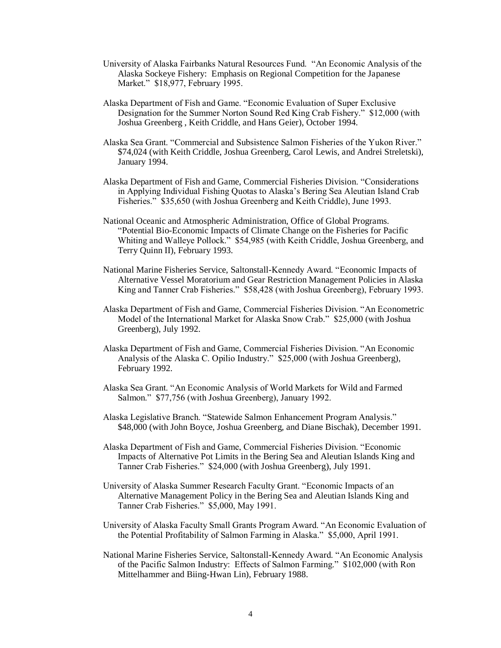- University of Alaska Fairbanks Natural Resources Fund. "An Economic Analysis of the Alaska Sockeye Fishery: Emphasis on Regional Competition for the Japanese Market." \$18,977, February 1995.
- Alaska Department of Fish and Game. "Economic Evaluation of Super Exclusive Designation for the Summer Norton Sound Red King Crab Fishery." \$12,000 (with Joshua Greenberg , Keith Criddle, and Hans Geier), October 1994.
- Alaska Sea Grant. "Commercial and Subsistence Salmon Fisheries of the Yukon River." \$74,024 (with Keith Criddle, Joshua Greenberg, Carol Lewis, and Andrei Streletski), January 1994.
- Alaska Department of Fish and Game, Commercial Fisheries Division. "Considerations in Applying Individual Fishing Quotas to Alaska's Bering Sea Aleutian Island Crab Fisheries." \$35,650 (with Joshua Greenberg and Keith Criddle), June 1993.
- National Oceanic and Atmospheric Administration, Office of Global Programs. "Potential Bio-Economic Impacts of Climate Change on the Fisheries for Pacific Whiting and Walleye Pollock." \$54,985 (with Keith Criddle, Joshua Greenberg, and Terry Quinn II), February 1993.
- National Marine Fisheries Service, Saltonstall-Kennedy Award. "Economic Impacts of Alternative Vessel Moratorium and Gear Restriction Management Policies in Alaska King and Tanner Crab Fisheries." \$58,428 (with Joshua Greenberg), February 1993.
- Alaska Department of Fish and Game, Commercial Fisheries Division. "An Econometric Model of the International Market for Alaska Snow Crab." \$25,000 (with Joshua Greenberg), July 1992.
- Alaska Department of Fish and Game, Commercial Fisheries Division. "An Economic Analysis of the Alaska C. Opilio Industry." \$25,000 (with Joshua Greenberg), February 1992.
- Alaska Sea Grant. "An Economic Analysis of World Markets for Wild and Farmed Salmon." \$77,756 (with Joshua Greenberg), January 1992.
- Alaska Legislative Branch. "Statewide Salmon Enhancement Program Analysis." \$48,000 (with John Boyce, Joshua Greenberg, and Diane Bischak), December 1991.
- Alaska Department of Fish and Game, Commercial Fisheries Division. "Economic Impacts of Alternative Pot Limits in the Bering Sea and Aleutian Islands King and Tanner Crab Fisheries." \$24,000 (with Joshua Greenberg), July 1991.
- University of Alaska Summer Research Faculty Grant. "Economic Impacts of an Alternative Management Policy in the Bering Sea and Aleutian Islands King and Tanner Crab Fisheries." \$5,000, May 1991.
- University of Alaska Faculty Small Grants Program Award. "An Economic Evaluation of the Potential Profitability of Salmon Farming in Alaska." \$5,000, April 1991.
- National Marine Fisheries Service, Saltonstall-Kennedy Award. "An Economic Analysis of the Pacific Salmon Industry: Effects of Salmon Farming." \$102,000 (with Ron Mittelhammer and Biing-Hwan Lin), February 1988.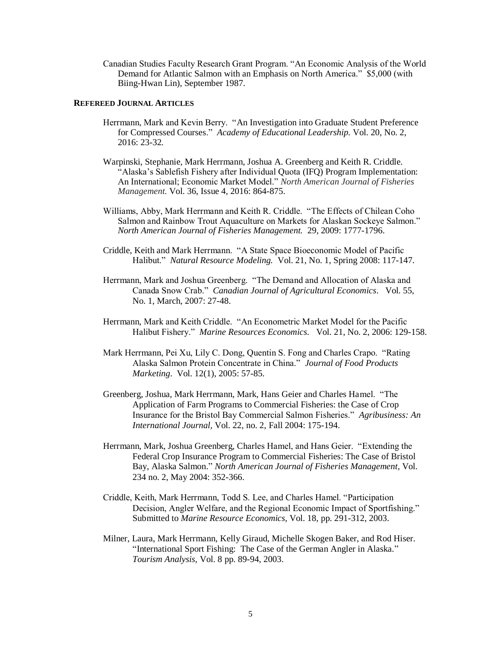Canadian Studies Faculty Research Grant Program. "An Economic Analysis of the World Demand for Atlantic Salmon with an Emphasis on North America." \$5,000 (with Biing-Hwan Lin), September 1987.

### **REFEREED JOURNAL ARTICLES**

- Herrmann, Mark and Kevin Berry. "An Investigation into Graduate Student Preference for Compressed Courses." *Academy of Educational Leadership.* Vol. 20, No. 2, 2016: 23-32*.*
- Warpinski, Stephanie, Mark Herrmann, Joshua A. Greenberg and Keith R. Criddle. "Alaska's Sablefish Fishery after Individual Quota (IFQ) Program Implementation: An International; Economic Market Model." *North American Journal of Fisheries Management.* Vol. 36, Issue 4, 2016: 864-875.
- Williams, Abby, Mark Herrmann and Keith R. Criddle. "The Effects of Chilean Coho Salmon and Rainbow Trout Aquaculture on Markets for Alaskan Sockeye Salmon." *North American Journal of Fisheries Management.* 29, 2009: 1777-1796.
- Criddle, Keith and Mark Herrmann. "A State Space Bioeconomic Model of Pacific Halibut." *Natural Resource Modeling.* Vol. 21, No. 1, Spring 2008: 117-147.
- Herrmann, Mark and Joshua Greenberg. "The Demand and Allocation of Alaska and Canada Snow Crab." *Canadian Journal of Agricultural Economics*. Vol. 55, No. 1, March, 2007: 27-48.
- Herrmann, Mark and Keith Criddle. "An Econometric Market Model for the Pacific Halibut Fishery." *Marine Resources Economics.* Vol. 21, No. 2, 2006: 129-158.
- Mark Herrmann, Pei Xu, Lily C. Dong, Quentin S. Fong and Charles Crapo. "Rating Alaska Salmon Protein Concentrate in China." *Journal of Food Products Marketing*. Vol. 12(1), 2005: 57-85.
- Greenberg, Joshua, Mark Herrmann, Mark, Hans Geier and Charles Hamel. "The Application of Farm Programs to Commercial Fisheries: the Case of Crop Insurance for the Bristol Bay Commercial Salmon Fisheries." *Agribusiness: An International Journal,* Vol. 22, no. 2, Fall 2004: 175-194.
- Herrmann, Mark, Joshua Greenberg, Charles Hamel, and Hans Geier. "Extending the Federal Crop Insurance Program to Commercial Fisheries: The Case of Bristol Bay, Alaska Salmon." *North American Journal of Fisheries Management*, Vol. 234 no. 2, May 2004: 352-366.
- Criddle, Keith, Mark Herrmann, Todd S. Lee, and Charles Hamel. "Participation Decision, Angler Welfare, and the Regional Economic Impact of Sportfishing." Submitted to *Marine Resource Economics,* Vol. 18, pp. 291-312, 2003.
- Milner, Laura, Mark Herrmann, Kelly Giraud, Michelle Skogen Baker, and Rod Hiser. "International Sport Fishing: The Case of the German Angler in Alaska." *Tourism Analysis,* Vol. 8 pp. 89-94, 2003.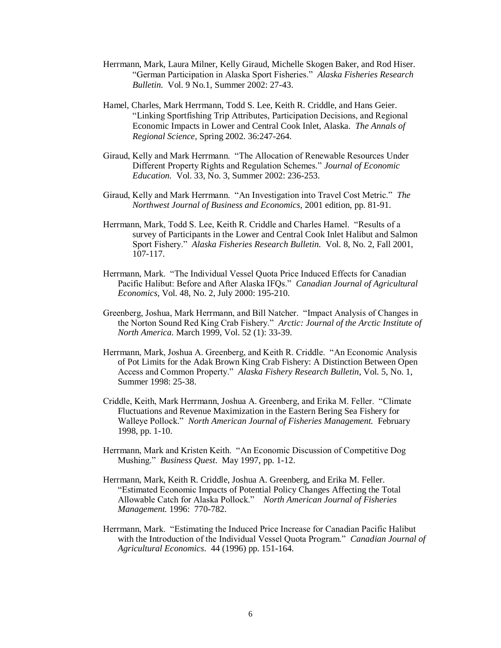- Herrmann, Mark, Laura Milner, Kelly Giraud, Michelle Skogen Baker, and Rod Hiser. "German Participation in Alaska Sport Fisheries." *Alaska Fisheries Research Bulletin.* Vol. 9 No.1, Summer 2002: 27-43.
- Hamel, Charles, Mark Herrmann, Todd S. Lee, Keith R. Criddle, and Hans Geier. "Linking Sportfishing Trip Attributes, Participation Decisions, and Regional Economic Impacts in Lower and Central Cook Inlet, Alaska. *The Annals of Regional Science*, Spring 2002. 36:247-264.
- Giraud, Kelly and Mark Herrmann. "The Allocation of Renewable Resources Under Different Property Rights and Regulation Schemes." *Journal of Economic Education.* Vol. 33, No. 3, Summer 2002: 236-253.
- Giraud, Kelly and Mark Herrmann. "An Investigation into Travel Cost Metric." *The Northwest Journal of Business and Economics,* 2001 edition, pp. 81-91.
- Herrmann, Mark, Todd S. Lee, Keith R. Criddle and Charles Hamel. "Results of a survey of Participants in the Lower and Central Cook Inlet Halibut and Salmon Sport Fishery." *Alaska Fisheries Research Bulletin.* Vol. 8, No. 2, Fall 2001,  $107 - 117$ .
- Herrmann, Mark. "The Individual Vessel Quota Price Induced Effects for Canadian Pacific Halibut: Before and After Alaska IFQs." *Canadian Journal of Agricultural Economics,* Vol. 48, No. 2, July 2000: 195-210.
- Greenberg, Joshua, Mark Herrmann, and Bill Natcher. "Impact Analysis of Changes in the Norton Sound Red King Crab Fishery." *Arctic: Journal of the Arctic Institute of North America.* March 1999, Vol. 52 (1): 33-39.
- Herrmann, Mark, Joshua A. Greenberg, and Keith R. Criddle. "An Economic Analysis of Pot Limits for the Adak Brown King Crab Fishery: A Distinction Between Open Access and Common Property." *Alaska Fishery Research Bulletin*, Vol. 5, No. 1, Summer 1998: 25-38.
- Criddle, Keith, Mark Herrmann, Joshua A. Greenberg, and Erika M. Feller. "Climate Fluctuations and Revenue Maximization in the Eastern Bering Sea Fishery for Walleye Pollock." *North American Journal of Fisheries Management.* February 1998, pp. 1-10.
- Herrmann, Mark and Kristen Keith. "An Economic Discussion of Competitive Dog Mushing." *Business Quest*. May 1997, pp. 1-12.
- Herrmann, Mark, Keith R. Criddle, Joshua A. Greenberg, and Erika M. Feller. "Estimated Economic Impacts of Potential Policy Changes Affecting the Total Allowable Catch for Alaska Pollock." *North American Journal of Fisheries Management.* 1996: 770-782.
- Herrmann, Mark. "Estimating the Induced Price Increase for Canadian Pacific Halibut with the Introduction of the Individual Vessel Quota Program." *Canadian Journal of Agricultural Economics*. 44 (1996) pp. 151-164.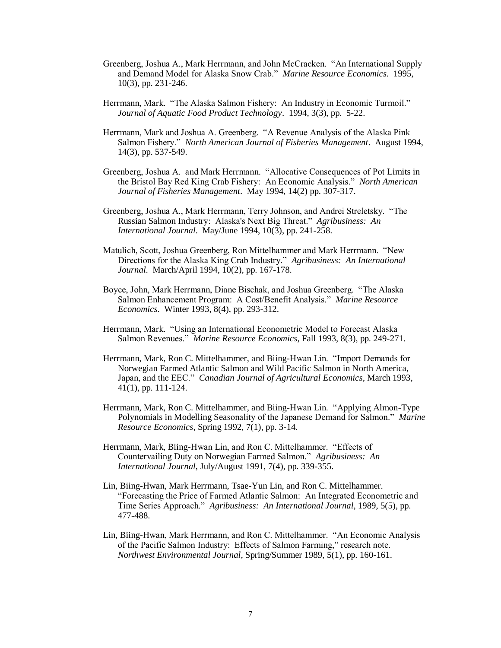- Greenberg, Joshua A., Mark Herrmann, and John McCracken. "An International Supply and Demand Model for Alaska Snow Crab." *Marine Resource Economics.* 1995, 10(3), pp. 231-246.
- Herrmann, Mark. "The Alaska Salmon Fishery: An Industry in Economic Turmoil." *Journal of Aquatic Food Product Technology*. 1994, 3(3), pp. 5-22.
- Herrmann, Mark and Joshua A. Greenberg. "A Revenue Analysis of the Alaska Pink Salmon Fishery." *North American Journal of Fisheries Management*. August 1994, 14(3), pp. 537-549.
- Greenberg, Joshua A. and Mark Herrmann. "Allocative Consequences of Pot Limits in the Bristol Bay Red King Crab Fishery: An Economic Analysis." *North American Journal of Fisheries Management*. May 1994, 14(2) pp. 307-317.
- Greenberg, Joshua A., Mark Herrmann, Terry Johnson, and Andrei Streletsky. "The Russian Salmon Industry: Alaska's Next Big Threat." *Agribusiness: An International Journal*. May/June 1994, 10(3), pp. 241-258.
- Matulich, Scott, Joshua Greenberg, Ron Mittelhammer and Mark Herrmann. "New Directions for the Alaska King Crab Industry." *Agribusiness: An International Journal*. March/April 1994, 10(2), pp. 167-178.
- Boyce, John, Mark Herrmann, Diane Bischak, and Joshua Greenberg. "The Alaska Salmon Enhancement Program: A Cost/Benefit Analysis." *Marine Resource Economics*. Winter 1993, 8(4), pp. 293-312.
- Herrmann, Mark. "Using an International Econometric Model to Forecast Alaska Salmon Revenues." *Marine Resource Economics*, Fall 1993, 8(3), pp. 249-271.
- Herrmann, Mark, Ron C. Mittelhammer, and Biing-Hwan Lin. "Import Demands for Norwegian Farmed Atlantic Salmon and Wild Pacific Salmon in North America, Japan, and the EEC." *Canadian Journal of Agricultural Economics*, March 1993, 41(1), pp. 111-124.
- Herrmann, Mark, Ron C. Mittelhammer, and Biing-Hwan Lin. "Applying Almon-Type Polynomials in Modelling Seasonality of the Japanese Demand for Salmon." *Marine Resource Economics*, Spring 1992, 7(1), pp. 3-14.
- Herrmann, Mark, Biing-Hwan Lin, and Ron C. Mittelhammer. "Effects of Countervailing Duty on Norwegian Farmed Salmon." *Agribusiness: An International Journal*, July/August 1991, 7(4), pp. 339-355.
- Lin, Biing-Hwan, Mark Herrmann, Tsae-Yun Lin, and Ron C. Mittelhammer. "Forecasting the Price of Farmed Atlantic Salmon: An Integrated Econometric and Time Series Approach." *Agribusiness: An International Journal*, 1989, 5(5), pp. 477-488.
- Lin, Biing-Hwan, Mark Herrmann, and Ron C. Mittelhammer. "An Economic Analysis of the Pacific Salmon Industry: Effects of Salmon Farming," research note. *Northwest Environmental Journal*, Spring/Summer 1989, 5(1), pp. 160-161.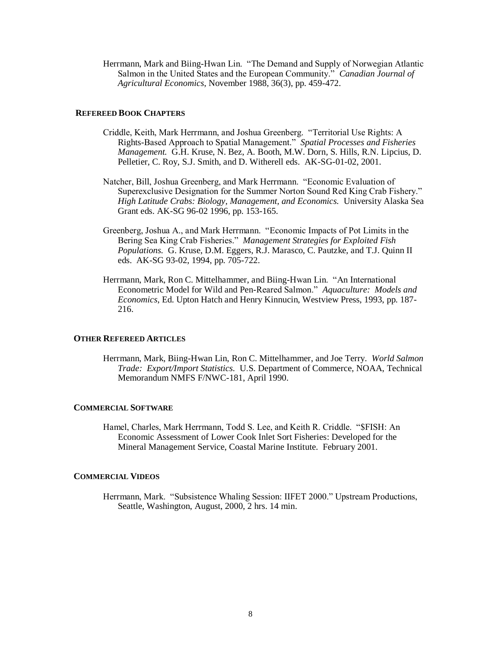Herrmann, Mark and Biing-Hwan Lin. "The Demand and Supply of Norwegian Atlantic Salmon in the United States and the European Community." *Canadian Journal of Agricultural Economics*, November 1988, 36(3), pp. 459-472.

## **REFEREED BOOK CHAPTERS**

- Criddle, Keith, Mark Herrmann, and Joshua Greenberg. "Territorial Use Rights: A Rights-Based Approach to Spatial Management." *Spatial Processes and Fisheries Management.* G.H. Kruse, N. Bez, A. Booth, M.W. Dorn, S. Hills, R.N. Lipcius, D. Pelletier, C. Roy, S.J. Smith, and D. Witherell eds. AK-SG-01-02, 2001.
- Natcher, Bill, Joshua Greenberg, and Mark Herrmann. "Economic Evaluation of Superexclusive Designation for the Summer Norton Sound Red King Crab Fishery." *High Latitude Crabs: Biology, Management, and Economics.* University Alaska Sea Grant eds. AK-SG 96-02 1996, pp. 153-165.
- Greenberg, Joshua A., and Mark Herrmann. "Economic Impacts of Pot Limits in the Bering Sea King Crab Fisheries." *Management Strategies for Exploited Fish Populations.* G. Kruse, D.M. Eggers, R.J. Marasco, C. Pautzke, and T.J. Quinn II eds. AK-SG 93-02, 1994, pp. 705-722.
- Herrmann, Mark, Ron C. Mittelhammer, and Biing-Hwan Lin. "An International Econometric Model for Wild and Pen-Reared Salmon." *Aquaculture: Models and Economics*, Ed. Upton Hatch and Henry Kinnucin, Westview Press, 1993, pp. 187- 216.

#### **OTHER REFEREED ARTICLES**

Herrmann, Mark, Biing-Hwan Lin, Ron C. Mittelhammer, and Joe Terry. *World Salmon Trade: Export/Import Statistics.* U.S. Department of Commerce, NOAA, Technical Memorandum NMFS F/NWC-181, April 1990.

#### **COMMERCIAL SOFTWARE**

Hamel, Charles, Mark Herrmann, Todd S. Lee, and Keith R. Criddle. "\$FISH: An Economic Assessment of Lower Cook Inlet Sort Fisheries: Developed for the Mineral Management Service, Coastal Marine Institute. February 2001.

#### **COMMERCIAL VIDEOS**

Herrmann, Mark. "Subsistence Whaling Session: IIFET 2000." Upstream Productions, Seattle, Washington, August, 2000, 2 hrs. 14 min.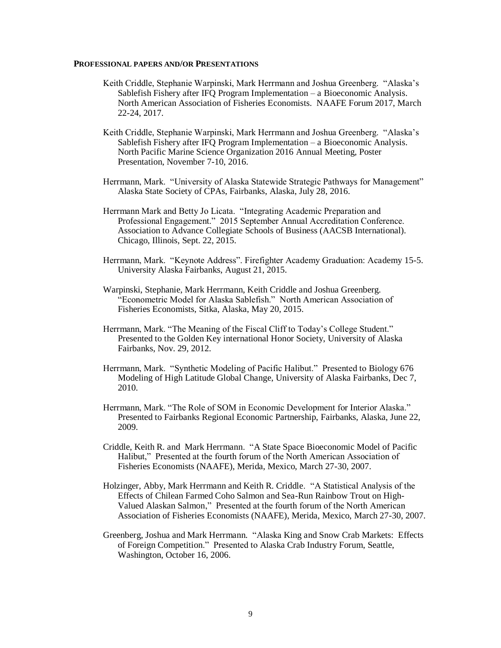#### **PROFESSIONAL PAPERS AND/OR PRESENTATIONS**

- Keith Criddle, Stephanie Warpinski, Mark Herrmann and Joshua Greenberg. "Alaska's Sablefish Fishery after IFQ Program Implementation – a Bioeconomic Analysis. North American Association of Fisheries Economists. NAAFE Forum 2017, March 22-24, 2017.
- Keith Criddle, Stephanie Warpinski, Mark Herrmann and Joshua Greenberg. "Alaska's Sablefish Fishery after IFQ Program Implementation – a Bioeconomic Analysis. North Pacific Marine Science Organization 2016 Annual Meeting, Poster Presentation, November 7-10, 2016.
- Herrmann, Mark. "University of Alaska Statewide Strategic Pathways for Management" Alaska State Society of CPAs, Fairbanks, Alaska, July 28, 2016.
- Herrmann Mark and Betty Jo Licata. "Integrating Academic Preparation and Professional Engagement." 2015 September Annual Accreditation Conference. Association to Advance Collegiate Schools of Business (AACSB International). Chicago, Illinois, Sept. 22, 2015.
- Herrmann, Mark. "Keynote Address". Firefighter Academy Graduation: Academy 15-5. University Alaska Fairbanks, August 21, 2015.
- Warpinski, Stephanie, Mark Herrmann, Keith Criddle and Joshua Greenberg. "Econometric Model for Alaska Sablefish." North American Association of Fisheries Economists, Sitka, Alaska, May 20, 2015.
- Herrmann, Mark. "The Meaning of the Fiscal Cliff to Today's College Student." Presented to the Golden Key international Honor Society, University of Alaska Fairbanks, Nov. 29, 2012.
- Herrmann, Mark. "Synthetic Modeling of Pacific Halibut." Presented to Biology 676 Modeling of High Latitude Global Change, University of Alaska Fairbanks, Dec 7, 2010.
- Herrmann, Mark. "The Role of SOM in Economic Development for Interior Alaska." Presented to Fairbanks Regional Economic Partnership, Fairbanks, Alaska, June 22, 2009.
- Criddle, Keith R. and Mark Herrmann. "A State Space Bioeconomic Model of Pacific Halibut," Presented at the fourth forum of the North American Association of Fisheries Economists (NAAFE), Merida, Mexico, March 27-30, 2007.
- Holzinger, Abby, Mark Herrmann and Keith R. Criddle. "A Statistical Analysis of the Effects of Chilean Farmed Coho Salmon and Sea-Run Rainbow Trout on High-Valued Alaskan Salmon," Presented at the fourth forum of the North American Association of Fisheries Economists (NAAFE), Merida, Mexico, March 27-30, 2007.
- Greenberg, Joshua and Mark Herrmann. "Alaska King and Snow Crab Markets: Effects of Foreign Competition." Presented to Alaska Crab Industry Forum, Seattle, Washington, October 16, 2006.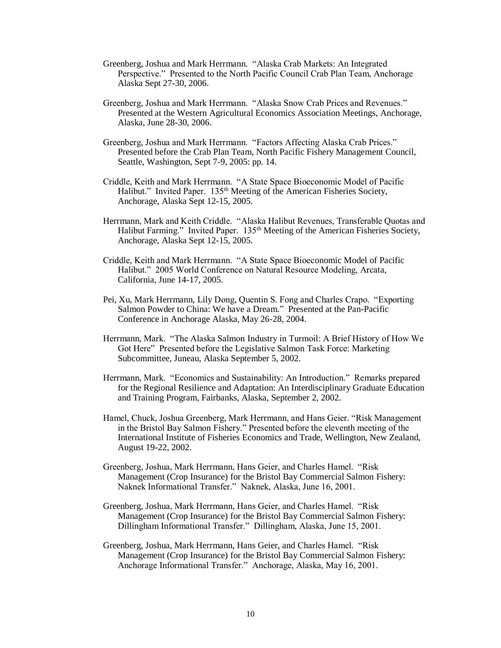- Greenberg, Joshua and Mark Herrmann. "Alaska Crab Markets: An Integrated Perspective." Presented to the North Pacific Council Crab Plan Team, Anchorage Alaska Sept 27-30, 2006.
- Greenberg, Joshua and Mark Herrmann. "Alaska Snow Crab Prices and Revenues." Presented at the Western Agricultural Economics Association Meetings, Anchorage, Alaska, June 28-30, 2006.
- Greenberg, Joshua and Mark Herrmann. "Factors Affecting Alaska Crab Prices." Presented before the Crab Plan Team, North Pacific Fishery Management Council, Seattle, Washington, Sept 7-9, 2005: pp. 14.
- Criddle, Keith and Mark Herrmann. "A State Space Bioeconomic Model of Pacific Halibut." Invited Paper. 135<sup>th</sup> Meeting of the American Fisheries Society, Anchorage, Alaska Sept 12-15, 2005.
- Herrmann, Mark and Keith Criddle. "Alaska Halibut Revenues, Transferable Quotas and Halibut Farming." Invited Paper. 135<sup>th</sup> Meeting of the American Fisheries Society, Anchorage, Alaska Sept 12-15, 2005.
- Criddle, Keith and Mark Herrmann. "A State Space Bioeconomic Model of Pacific Halibut." 2005 World Conference on Natural Resource Modeling, Arcata, California, June 14-17, 2005.
- Pei, Xu, Mark Herrmann, Lily Dong, Quentin S. Fong and Charles Crapo. "Exporting Salmon Powder to China: We have a Dream." Presented at the Pan-Pacific Conference in Anchorage Alaska, May 26-28, 2004.
- Herrmann, Mark. "The Alaska Salmon Industry in Turmoil: A Brief History of How We Got Here" Presented before the Legislative Salmon Task Force: Marketing Subcommittee, Juneau, Alaska September 5, 2002.
- Herrmann, Mark. "Economics and Sustainability: An Introduction." Remarks prepared for the Regional Resilience and Adaptation: An Interdisciplinary Graduate Education and Training Program, Fairbanks, Alaska, September 2, 2002.
- Hamel, Chuck, Joshua Greenberg, Mark Herrmann, and Hans Geier. "Risk Management in the Bristol Bay Salmon Fishery." Presented before the eleventh meeting of the International Institute of Fisheries Economics and Trade, Wellington, New Zealand, August 19-22, 2002.
- Greenberg, Joshua, Mark Herrmann, Hans Geier, and Charles Hamel. "Risk Management (Crop Insurance) for the Bristol Bay Commercial Salmon Fishery: Naknek Informational Transfer." Naknek, Alaska, June 16, 2001.
- Greenberg, Joshua, Mark Herrmann, Hans Geier, and Charles Hamel. "Risk Management (Crop Insurance) for the Bristol Bay Commercial Salmon Fishery: Dillingham Informational Transfer." Dillingham, Alaska, June 15, 2001.
- Greenberg, Joshua, Mark Herrmann, Hans Geier, and Charles Hamel. "Risk Management (Crop Insurance) for the Bristol Bay Commercial Salmon Fishery: Anchorage Informational Transfer." Anchorage, Alaska, May 16, 2001.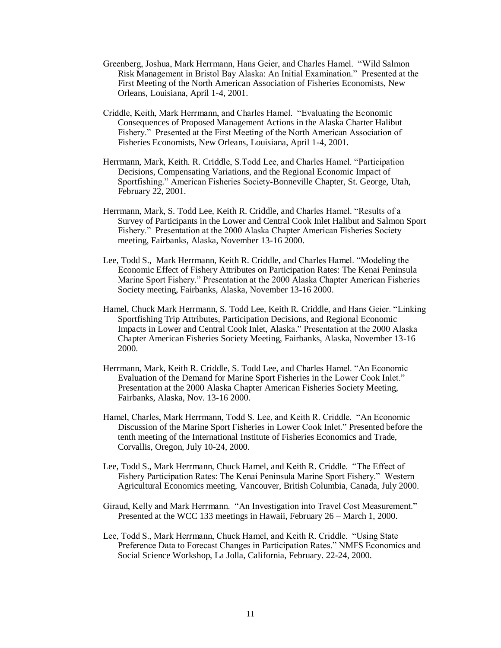- Greenberg, Joshua, Mark Herrmann, Hans Geier, and Charles Hamel. "Wild Salmon Risk Management in Bristol Bay Alaska: An Initial Examination." Presented at the First Meeting of the North American Association of Fisheries Economists, New Orleans, Louisiana, April 1-4, 2001.
- Criddle, Keith, Mark Herrmann, and Charles Hamel. "Evaluating the Economic Consequences of Proposed Management Actions in the Alaska Charter Halibut Fishery." Presented at the First Meeting of the North American Association of Fisheries Economists, New Orleans, Louisiana, April 1-4, 2001.
- Herrmann, Mark, Keith. R. Criddle, S.Todd Lee, and Charles Hamel. "Participation Decisions, Compensating Variations, and the Regional Economic Impact of Sportfishing." American Fisheries Society-Bonneville Chapter, St. George, Utah, February 22, 2001.
- Herrmann, Mark, S. Todd Lee, Keith R. Criddle, and Charles Hamel. "Results of a Survey of Participants in the Lower and Central Cook Inlet Halibut and Salmon Sport Fishery." Presentation at the 2000 Alaska Chapter American Fisheries Society meeting, Fairbanks, Alaska, November 13-16 2000.
- Lee, Todd S., Mark Herrmann, Keith R. Criddle, and Charles Hamel. "Modeling the Economic Effect of Fishery Attributes on Participation Rates: The Kenai Peninsula Marine Sport Fishery." Presentation at the 2000 Alaska Chapter American Fisheries Society meeting, Fairbanks, Alaska, November 13-16 2000.
- Hamel, Chuck Mark Herrmann, S. Todd Lee, Keith R. Criddle, and Hans Geier. "Linking Sportfishing Trip Attributes, Participation Decisions, and Regional Economic Impacts in Lower and Central Cook Inlet, Alaska." Presentation at the 2000 Alaska Chapter American Fisheries Society Meeting, Fairbanks, Alaska, November 13-16 2000.
- Herrmann, Mark, Keith R. Criddle, S. Todd Lee, and Charles Hamel. "An Economic Evaluation of the Demand for Marine Sport Fisheries in the Lower Cook Inlet." Presentation at the 2000 Alaska Chapter American Fisheries Society Meeting, Fairbanks, Alaska, Nov. 13-16 2000.
- Hamel, Charles, Mark Herrmann, Todd S. Lee, and Keith R. Criddle. "An Economic Discussion of the Marine Sport Fisheries in Lower Cook Inlet." Presented before the tenth meeting of the International Institute of Fisheries Economics and Trade, Corvallis, Oregon, July 10-24, 2000.
- Lee, Todd S., Mark Herrmann, Chuck Hamel, and Keith R. Criddle. "The Effect of Fishery Participation Rates: The Kenai Peninsula Marine Sport Fishery." Western Agricultural Economics meeting, Vancouver, British Columbia, Canada, July 2000.
- Giraud, Kelly and Mark Herrmann. "An Investigation into Travel Cost Measurement." Presented at the WCC 133 meetings in Hawaii, February 26 – March 1, 2000.
- Lee, Todd S., Mark Herrmann, Chuck Hamel, and Keith R. Criddle. "Using State Preference Data to Forecast Changes in Participation Rates." NMFS Economics and Social Science Workshop, La Jolla, California, February. 22-24, 2000.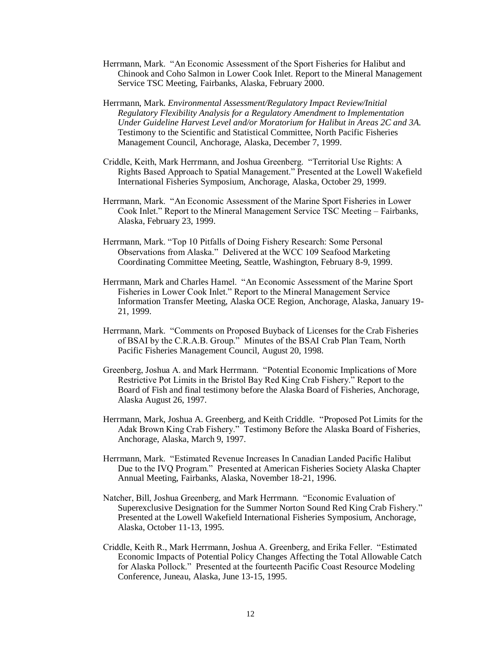- Herrmann, Mark. "An Economic Assessment of the Sport Fisheries for Halibut and Chinook and Coho Salmon in Lower Cook Inlet. Report to the Mineral Management Service TSC Meeting, Fairbanks, Alaska, February 2000.
- Herrmann, Mark. *Environmental Assessment/Regulatory Impact Review/Initial Regulatory Flexibility Analysis for a Regulatory Amendment to Implementation Under Guideline Harvest Level and/or Moratorium for Halibut in Areas 2C and 3A.*  Testimony to the Scientific and Statistical Committee, North Pacific Fisheries Management Council, Anchorage, Alaska, December 7, 1999.
- Criddle, Keith, Mark Herrmann, and Joshua Greenberg. "Territorial Use Rights: A Rights Based Approach to Spatial Management." Presented at the Lowell Wakefield International Fisheries Symposium, Anchorage, Alaska, October 29, 1999.
- Herrmann, Mark. "An Economic Assessment of the Marine Sport Fisheries in Lower Cook Inlet." Report to the Mineral Management Service TSC Meeting – Fairbanks, Alaska, February 23, 1999.
- Herrmann, Mark. "Top 10 Pitfalls of Doing Fishery Research: Some Personal Observations from Alaska." Delivered at the WCC 109 Seafood Marketing Coordinating Committee Meeting, Seattle, Washington, February 8-9, 1999.
- Herrmann, Mark and Charles Hamel. "An Economic Assessment of the Marine Sport Fisheries in Lower Cook Inlet." Report to the Mineral Management Service Information Transfer Meeting, Alaska OCE Region, Anchorage, Alaska, January 19- 21, 1999.
- Herrmann, Mark. "Comments on Proposed Buyback of Licenses for the Crab Fisheries of BSAI by the C.R.A.B. Group." Minutes of the BSAI Crab Plan Team, North Pacific Fisheries Management Council, August 20, 1998.
- Greenberg, Joshua A. and Mark Herrmann. "Potential Economic Implications of More Restrictive Pot Limits in the Bristol Bay Red King Crab Fishery." Report to the Board of Fish and final testimony before the Alaska Board of Fisheries, Anchorage, Alaska August 26, 1997.
- Herrmann, Mark, Joshua A. Greenberg, and Keith Criddle. "Proposed Pot Limits for the Adak Brown King Crab Fishery." Testimony Before the Alaska Board of Fisheries, Anchorage, Alaska, March 9, 1997.
- Herrmann, Mark. "Estimated Revenue Increases In Canadian Landed Pacific Halibut Due to the IVQ Program." Presented at American Fisheries Society Alaska Chapter Annual Meeting, Fairbanks, Alaska, November 18-21, 1996.
- Natcher, Bill, Joshua Greenberg, and Mark Herrmann. "Economic Evaluation of Superexclusive Designation for the Summer Norton Sound Red King Crab Fishery." Presented at the Lowell Wakefield International Fisheries Symposium, Anchorage, Alaska, October 11-13, 1995.
- Criddle, Keith R., Mark Herrmann, Joshua A. Greenberg, and Erika Feller. "Estimated Economic Impacts of Potential Policy Changes Affecting the Total Allowable Catch for Alaska Pollock." Presented at the fourteenth Pacific Coast Resource Modeling Conference, Juneau, Alaska, June 13-15, 1995.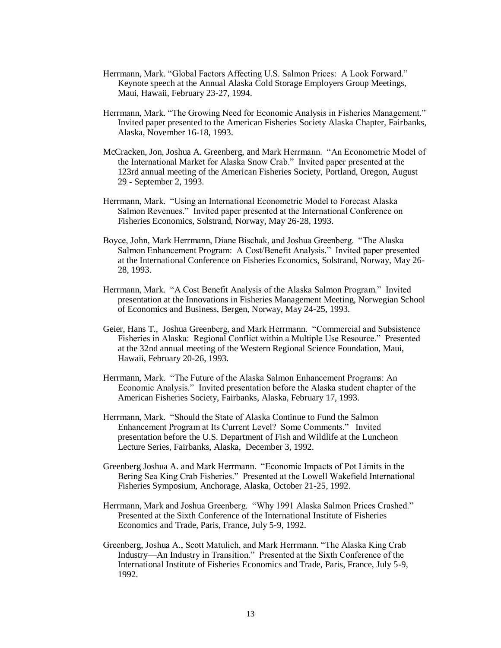- Herrmann, Mark. "Global Factors Affecting U.S. Salmon Prices: A Look Forward." Keynote speech at the Annual Alaska Cold Storage Employers Group Meetings, Maui, Hawaii, February 23-27, 1994.
- Herrmann, Mark. "The Growing Need for Economic Analysis in Fisheries Management." Invited paper presented to the American Fisheries Society Alaska Chapter, Fairbanks, Alaska, November 16-18, 1993.
- McCracken, Jon, Joshua A. Greenberg, and Mark Herrmann. "An Econometric Model of the International Market for Alaska Snow Crab." Invited paper presented at the 123rd annual meeting of the American Fisheries Society, Portland, Oregon, August 29 - September 2, 1993.
- Herrmann, Mark. "Using an International Econometric Model to Forecast Alaska Salmon Revenues." Invited paper presented at the International Conference on Fisheries Economics, Solstrand, Norway, May 26-28, 1993.
- Boyce, John, Mark Herrmann, Diane Bischak, and Joshua Greenberg. "The Alaska Salmon Enhancement Program: A Cost/Benefit Analysis." Invited paper presented at the International Conference on Fisheries Economics, Solstrand, Norway, May 26- 28, 1993.
- Herrmann, Mark. "A Cost Benefit Analysis of the Alaska Salmon Program." Invited presentation at the Innovations in Fisheries Management Meeting, Norwegian School of Economics and Business, Bergen, Norway, May 24-25, 1993.
- Geier, Hans T., Joshua Greenberg, and Mark Herrmann. "Commercial and Subsistence Fisheries in Alaska: Regional Conflict within a Multiple Use Resource." Presented at the 32nd annual meeting of the Western Regional Science Foundation, Maui, Hawaii, February 20-26, 1993.
- Herrmann, Mark. "The Future of the Alaska Salmon Enhancement Programs: An Economic Analysis." Invited presentation before the Alaska student chapter of the American Fisheries Society, Fairbanks, Alaska, February 17, 1993.
- Herrmann, Mark. "Should the State of Alaska Continue to Fund the Salmon Enhancement Program at Its Current Level? Some Comments." Invited presentation before the U.S. Department of Fish and Wildlife at the Luncheon Lecture Series, Fairbanks, Alaska, December 3, 1992.
- Greenberg Joshua A. and Mark Herrmann. "Economic Impacts of Pot Limits in the Bering Sea King Crab Fisheries." Presented at the Lowell Wakefield International Fisheries Symposium, Anchorage, Alaska, October 21-25, 1992.
- Herrmann, Mark and Joshua Greenberg. "Why 1991 Alaska Salmon Prices Crashed." Presented at the Sixth Conference of the International Institute of Fisheries Economics and Trade, Paris, France, July 5-9, 1992.
- Greenberg, Joshua A., Scott Matulich, and Mark Herrmann. "The Alaska King Crab Industry—An Industry in Transition." Presented at the Sixth Conference of the International Institute of Fisheries Economics and Trade, Paris, France, July 5-9, 1992.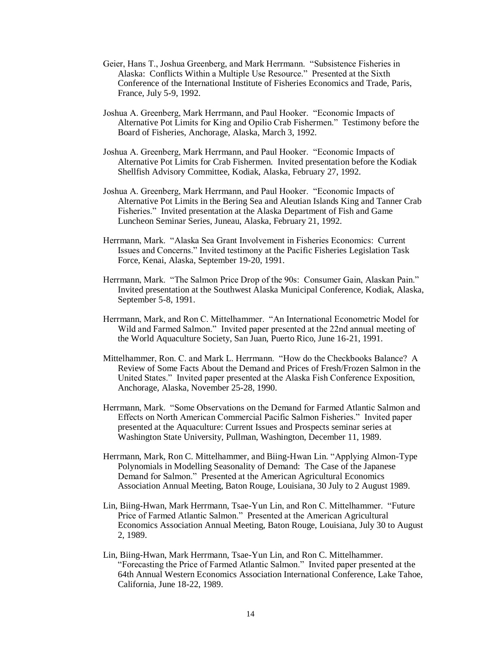- Geier, Hans T., Joshua Greenberg, and Mark Herrmann. "Subsistence Fisheries in Alaska: Conflicts Within a Multiple Use Resource." Presented at the Sixth Conference of the International Institute of Fisheries Economics and Trade, Paris, France, July 5-9, 1992.
- Joshua A. Greenberg, Mark Herrmann, and Paul Hooker. "Economic Impacts of Alternative Pot Limits for King and Opilio Crab Fishermen." Testimony before the Board of Fisheries, Anchorage, Alaska, March 3, 1992.
- Joshua A. Greenberg, Mark Herrmann, and Paul Hooker. "Economic Impacts of Alternative Pot Limits for Crab Fishermen. Invited presentation before the Kodiak Shellfish Advisory Committee, Kodiak, Alaska, February 27, 1992.
- Joshua A. Greenberg, Mark Herrmann, and Paul Hooker. "Economic Impacts of Alternative Pot Limits in the Bering Sea and Aleutian Islands King and Tanner Crab Fisheries." Invited presentation at the Alaska Department of Fish and Game Luncheon Seminar Series, Juneau, Alaska, February 21, 1992.
- Herrmann, Mark. "Alaska Sea Grant Involvement in Fisheries Economics: Current Issues and Concerns." Invited testimony at the Pacific Fisheries Legislation Task Force, Kenai, Alaska, September 19-20, 1991.
- Herrmann, Mark. "The Salmon Price Drop of the 90s: Consumer Gain, Alaskan Pain." Invited presentation at the Southwest Alaska Municipal Conference, Kodiak, Alaska, September 5-8, 1991.
- Herrmann, Mark, and Ron C. Mittelhammer. "An International Econometric Model for Wild and Farmed Salmon." Invited paper presented at the 22nd annual meeting of the World Aquaculture Society, San Juan, Puerto Rico, June 16-21, 1991.
- Mittelhammer, Ron. C. and Mark L. Herrmann. "How do the Checkbooks Balance? A Review of Some Facts About the Demand and Prices of Fresh/Frozen Salmon in the United States." Invited paper presented at the Alaska Fish Conference Exposition, Anchorage, Alaska, November 25-28, 1990.
- Herrmann, Mark. "Some Observations on the Demand for Farmed Atlantic Salmon and Effects on North American Commercial Pacific Salmon Fisheries." Invited paper presented at the Aquaculture: Current Issues and Prospects seminar series at Washington State University, Pullman, Washington, December 11, 1989.
- Herrmann, Mark, Ron C. Mittelhammer, and Biing-Hwan Lin. "Applying Almon-Type Polynomials in Modelling Seasonality of Demand: The Case of the Japanese Demand for Salmon." Presented at the American Agricultural Economics Association Annual Meeting, Baton Rouge, Louisiana, 30 July to 2 August 1989.
- Lin, Biing-Hwan, Mark Herrmann, Tsae-Yun Lin, and Ron C. Mittelhammer. "Future Price of Farmed Atlantic Salmon." Presented at the American Agricultural Economics Association Annual Meeting, Baton Rouge, Louisiana, July 30 to August 2, 1989.
- Lin, Biing-Hwan, Mark Herrmann, Tsae-Yun Lin, and Ron C. Mittelhammer. "Forecasting the Price of Farmed Atlantic Salmon." Invited paper presented at the 64th Annual Western Economics Association International Conference, Lake Tahoe, California, June 18-22, 1989.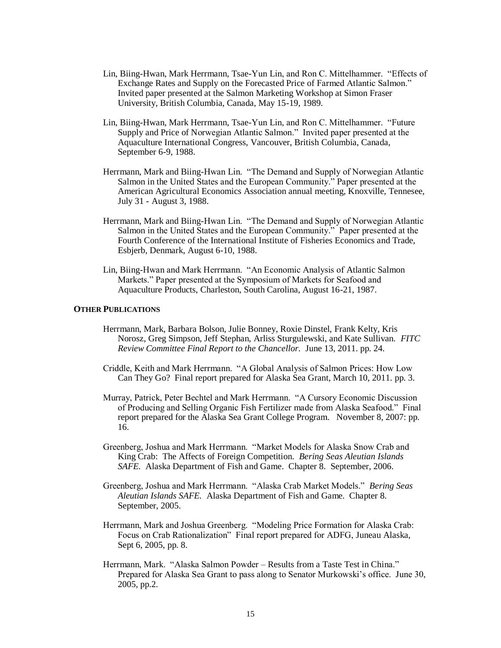- Lin, Biing-Hwan, Mark Herrmann, Tsae-Yun Lin, and Ron C. Mittelhammer. "Effects of Exchange Rates and Supply on the Forecasted Price of Farmed Atlantic Salmon." Invited paper presented at the Salmon Marketing Workshop at Simon Fraser University, British Columbia, Canada, May 15-19, 1989.
- Lin, Biing-Hwan, Mark Herrmann, Tsae-Yun Lin, and Ron C. Mittelhammer. "Future Supply and Price of Norwegian Atlantic Salmon." Invited paper presented at the Aquaculture International Congress, Vancouver, British Columbia, Canada, September 6-9, 1988.
- Herrmann, Mark and Biing-Hwan Lin. "The Demand and Supply of Norwegian Atlantic Salmon in the United States and the European Community." Paper presented at the American Agricultural Economics Association annual meeting, Knoxville, Tennesee, July 31 - August 3, 1988.
- Herrmann, Mark and Biing-Hwan Lin. "The Demand and Supply of Norwegian Atlantic Salmon in the United States and the European Community." Paper presented at the Fourth Conference of the International Institute of Fisheries Economics and Trade, Esbjerb, Denmark, August 6-10, 1988.
- Lin, Biing-Hwan and Mark Herrmann. "An Economic Analysis of Atlantic Salmon Markets." Paper presented at the Symposium of Markets for Seafood and Aquaculture Products, Charleston, South Carolina, August 16-21, 1987.

#### **OTHER PUBLICATIONS**

- Herrmann, Mark, Barbara Bolson, Julie Bonney, Roxie Dinstel, Frank Kelty, Kris Norosz, Greg Simpson, Jeff Stephan, Arliss Sturgulewski, and Kate Sullivan. *FITC Review Committee Final Report to the Chancellor.* June 13, 2011. pp. 24.
- Criddle, Keith and Mark Herrmann. "A Global Analysis of Salmon Prices: How Low Can They Go? Final report prepared for Alaska Sea Grant, March 10, 2011. pp. 3.
- Murray, Patrick, Peter Bechtel and Mark Herrmann. "A Cursory Economic Discussion of Producing and Selling Organic Fish Fertilizer made from Alaska Seafood." Final report prepared for the Alaska Sea Grant College Program. November 8, 2007: pp. 16.
- Greenberg, Joshua and Mark Herrmann. "Market Models for Alaska Snow Crab and King Crab: The Affects of Foreign Competition. *Bering Seas Aleutian Islands SAFE.* Alaska Department of Fish and Game. Chapter 8. September, 2006.
- Greenberg, Joshua and Mark Herrmann. "Alaska Crab Market Models." *Bering Seas Aleutian Islands SAFE.* Alaska Department of Fish and Game. Chapter 8. September, 2005.
- Herrmann, Mark and Joshua Greenberg. "Modeling Price Formation for Alaska Crab: Focus on Crab Rationalization" Final report prepared for ADFG, Juneau Alaska, Sept 6, 2005, pp. 8.
- Herrmann, Mark. "Alaska Salmon Powder Results from a Taste Test in China." Prepared for Alaska Sea Grant to pass along to Senator Murkowski's office. June 30, 2005, pp.2.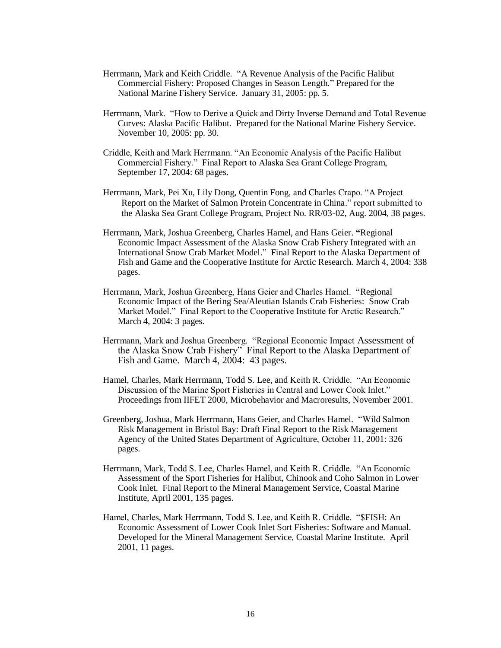- Herrmann, Mark and Keith Criddle. "A Revenue Analysis of the Pacific Halibut Commercial Fishery: Proposed Changes in Season Length." Prepared for the National Marine Fishery Service. January 31, 2005: pp. 5.
- Herrmann, Mark. "How to Derive a Quick and Dirty Inverse Demand and Total Revenue Curves: Alaska Pacific Halibut. Prepared for the National Marine Fishery Service. November 10, 2005: pp. 30.
- Criddle, Keith and Mark Herrmann. "An Economic Analysis of the Pacific Halibut Commercial Fishery." Final Report to Alaska Sea Grant College Program, September 17, 2004: 68 pages.
- Herrmann, Mark, Pei Xu, Lily Dong, Quentin Fong, and Charles Crapo. "A Project Report on the Market of Salmon Protein Concentrate in China." report submitted to the Alaska Sea Grant College Program, Project No. RR/03-02, Aug. 2004, 38 pages.
- Herrmann, Mark, Joshua Greenberg, Charles Hamel, and Hans Geier. **"**Regional Economic Impact Assessment of the Alaska Snow Crab Fishery Integrated with an International Snow Crab Market Model." Final Report to the Alaska Department of Fish and Game and the Cooperative Institute for Arctic Research. March 4, 2004: 338 pages.
- Herrmann, Mark, Joshua Greenberg, Hans Geier and Charles Hamel. "Regional Economic Impact of the Bering Sea/Aleutian Islands Crab Fisheries: Snow Crab Market Model." Final Report to the Cooperative Institute for Arctic Research." March 4, 2004: 3 pages.
- Herrmann, Mark and Joshua Greenberg. "Regional Economic Impact Assessment of the Alaska Snow Crab Fishery" Final Report to the Alaska Department of Fish and Game. March 4, 2004: 43 pages.
- Hamel, Charles, Mark Herrmann, Todd S. Lee, and Keith R. Criddle. "An Economic Discussion of the Marine Sport Fisheries in Central and Lower Cook Inlet." Proceedings from IIFET 2000, Microbehavior and Macroresults, November 2001.
- Greenberg, Joshua, Mark Herrmann, Hans Geier, and Charles Hamel. "Wild Salmon Risk Management in Bristol Bay: Draft Final Report to the Risk Management Agency of the United States Department of Agriculture, October 11, 2001: 326 pages.
- Herrmann, Mark, Todd S. Lee, Charles Hamel, and Keith R. Criddle. "An Economic Assessment of the Sport Fisheries for Halibut, Chinook and Coho Salmon in Lower Cook Inlet. Final Report to the Mineral Management Service, Coastal Marine Institute, April 2001, 135 pages.
- Hamel, Charles, Mark Herrmann, Todd S. Lee, and Keith R. Criddle. "\$FISH: An Economic Assessment of Lower Cook Inlet Sort Fisheries: Software and Manual. Developed for the Mineral Management Service, Coastal Marine Institute. April 2001, 11 pages.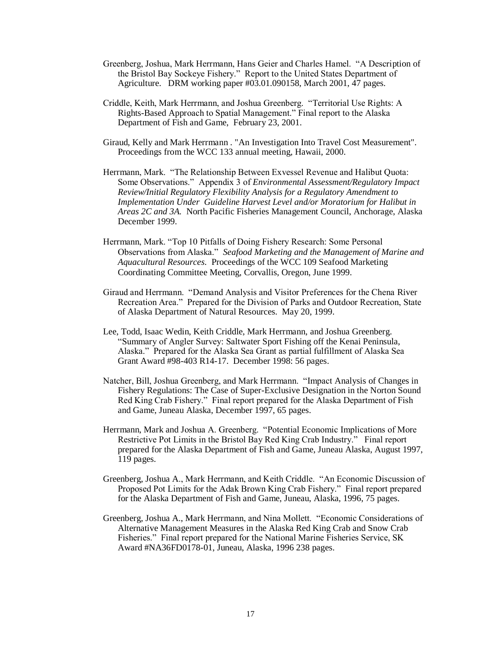- Greenberg, Joshua, Mark Herrmann, Hans Geier and Charles Hamel. "A Description of the Bristol Bay Sockeye Fishery." Report to the United States Department of Agriculture. DRM working paper #03.01.090158, March 2001, 47 pages.
- Criddle, Keith, Mark Herrmann, and Joshua Greenberg. "Territorial Use Rights: A Rights-Based Approach to Spatial Management." Final report to the Alaska Department of Fish and Game, February 23, 2001.
- Giraud, Kelly and Mark Herrmann . "An Investigation Into Travel Cost Measurement". Proceedings from the WCC 133 annual meeting, Hawaii, 2000.
- Herrmann, Mark. "The Relationship Between Exvessel Revenue and Halibut Quota: Some Observations." Appendix 3 of *Environmental Assessment/Regulatory Impact Review/Initial Regulatory Flexibility Analysis for a Regulatory Amendment to Implementation Under Guideline Harvest Level and/or Moratorium for Halibut in Areas 2C and 3A.* North Pacific Fisheries Management Council, Anchorage, Alaska December 1999.
- Herrmann, Mark. "Top 10 Pitfalls of Doing Fishery Research: Some Personal Observations from Alaska." *Seafood Marketing and the Management of Marine and Aquacultural Resources.* Proceedings of the WCC 109 Seafood Marketing Coordinating Committee Meeting, Corvallis, Oregon, June 1999.
- Giraud and Herrmann. "Demand Analysis and Visitor Preferences for the Chena River Recreation Area." Prepared for the Division of Parks and Outdoor Recreation, State of Alaska Department of Natural Resources. May 20, 1999.
- Lee, Todd, Isaac Wedin, Keith Criddle, Mark Herrmann, and Joshua Greenberg. "Summary of Angler Survey: Saltwater Sport Fishing off the Kenai Peninsula, Alaska." Prepared for the Alaska Sea Grant as partial fulfillment of Alaska Sea Grant Award #98-403 R14-17. December 1998: 56 pages.
- Natcher, Bill, Joshua Greenberg, and Mark Herrmann. "Impact Analysis of Changes in Fishery Regulations: The Case of Super-Exclusive Designation in the Norton Sound Red King Crab Fishery." Final report prepared for the Alaska Department of Fish and Game, Juneau Alaska, December 1997, 65 pages.
- Herrmann, Mark and Joshua A. Greenberg. "Potential Economic Implications of More Restrictive Pot Limits in the Bristol Bay Red King Crab Industry." Final report prepared for the Alaska Department of Fish and Game, Juneau Alaska, August 1997, 119 pages.
- Greenberg, Joshua A., Mark Herrmann, and Keith Criddle. "An Economic Discussion of Proposed Pot Limits for the Adak Brown King Crab Fishery." Final report prepared for the Alaska Department of Fish and Game, Juneau, Alaska, 1996, 75 pages.
- Greenberg, Joshua A., Mark Herrmann, and Nina Mollett. "Economic Considerations of Alternative Management Measures in the Alaska Red King Crab and Snow Crab Fisheries." Final report prepared for the National Marine Fisheries Service, SK Award #NA36FD0178-01, Juneau, Alaska, 1996 238 pages.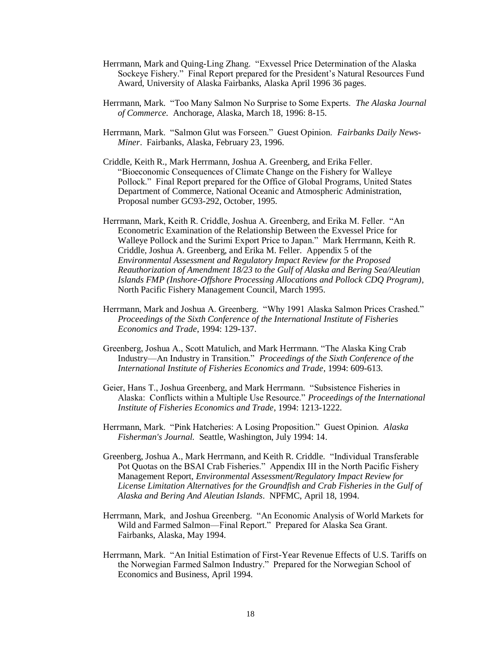- Herrmann, Mark and Quing-Ling Zhang. "Exvessel Price Determination of the Alaska Sockeye Fishery." Final Report prepared for the President's Natural Resources Fund Award, University of Alaska Fairbanks, Alaska April 1996 36 pages.
- Herrmann, Mark. "Too Many Salmon No Surprise to Some Experts. *The Alaska Journal of Commerce.* Anchorage, Alaska, March 18, 1996: 8-15.
- Herrmann, Mark. "Salmon Glut was Forseen." Guest Opinion. *Fairbanks Daily News-Miner*. Fairbanks, Alaska, February 23, 1996.
- Criddle, Keith R., Mark Herrmann, Joshua A. Greenberg, and Erika Feller. "Bioeconomic Consequences of Climate Change on the Fishery for Walleye Pollock." Final Report prepared for the Office of Global Programs, United States Department of Commerce, National Oceanic and Atmospheric Administration, Proposal number GC93-292, October, 1995.
- Herrmann, Mark, Keith R. Criddle, Joshua A. Greenberg, and Erika M. Feller. "An Econometric Examination of the Relationship Between the Exvessel Price for Walleye Pollock and the Surimi Export Price to Japan." Mark Herrmann, Keith R. Criddle, Joshua A. Greenberg, and Erika M. Feller. Appendix 5 of the *Environmental Assessment and Regulatory Impact Review for the Proposed Reauthorization of Amendment 18/23 to the Gulf of Alaska and Bering Sea/Aleutian Islands FMP (Inshore-Offshore Processing Allocations and Pollock CDQ Program),*  North Pacific Fishery Management Council, March 1995.
- Herrmann, Mark and Joshua A. Greenberg. "Why 1991 Alaska Salmon Prices Crashed." *Proceedings of the Sixth Conference of the International Institute of Fisheries Economics and Trade*, 1994: 129-137.
- Greenberg, Joshua A., Scott Matulich, and Mark Herrmann. "The Alaska King Crab Industry—An Industry in Transition." *Proceedings of the Sixth Conference of the International Institute of Fisheries Economics and Trade*, 1994: 609-613.
- Geier, Hans T., Joshua Greenberg, and Mark Herrmann. "Subsistence Fisheries in Alaska: Conflicts within a Multiple Use Resource." *Proceedings of the International Institute of Fisheries Economics and Trade*, 1994: 1213-1222.
- Herrmann, Mark. "Pink Hatcheries: A Losing Proposition." Guest Opinion. *Alaska Fisherman's Journal.* Seattle, Washington, July 1994: 14.
- Greenberg, Joshua A., Mark Herrmann, and Keith R. Criddle. "Individual Transferable Pot Quotas on the BSAI Crab Fisheries." Appendix III in the North Pacific Fishery Management Report, *Environmental Assessment/Regulatory Impact Review for License Limitation Alternatives for the Groundfish and Crab Fisheries in the Gulf of Alaska and Bering And Aleutian Islands*. NPFMC, April 18, 1994.
- Herrmann, Mark, and Joshua Greenberg. "An Economic Analysis of World Markets for Wild and Farmed Salmon—Final Report." Prepared for Alaska Sea Grant. Fairbanks, Alaska, May 1994.
- Herrmann, Mark. "An Initial Estimation of First-Year Revenue Effects of U.S. Tariffs on the Norwegian Farmed Salmon Industry." Prepared for the Norwegian School of Economics and Business, April 1994.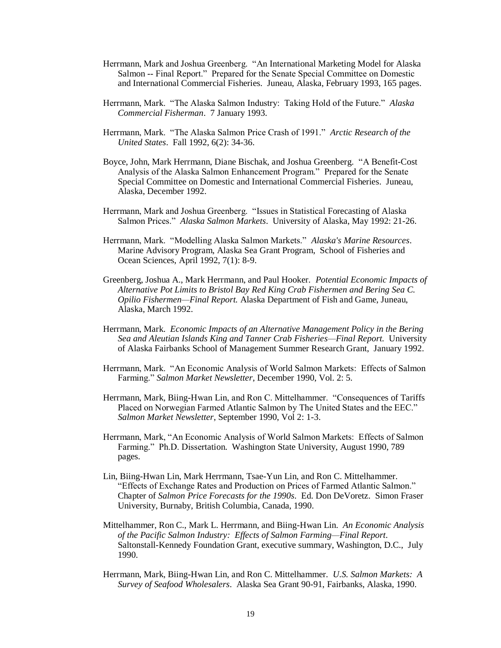- Herrmann, Mark and Joshua Greenberg. "An International Marketing Model for Alaska Salmon -- Final Report." Prepared for the Senate Special Committee on Domestic and International Commercial Fisheries. Juneau, Alaska, February 1993, 165 pages.
- Herrmann, Mark. "The Alaska Salmon Industry: Taking Hold of the Future." *Alaska Commercial Fisherman*. 7 January 1993.
- Herrmann, Mark. "The Alaska Salmon Price Crash of 1991." *Arctic Research of the United States*. Fall 1992, 6(2): 34-36.
- Boyce, John, Mark Herrmann, Diane Bischak, and Joshua Greenberg. "A Benefit-Cost Analysis of the Alaska Salmon Enhancement Program." Prepared for the Senate Special Committee on Domestic and International Commercial Fisheries. Juneau, Alaska, December 1992.
- Herrmann, Mark and Joshua Greenberg. "Issues in Statistical Forecasting of Alaska Salmon Prices." *Alaska Salmon Markets*. University of Alaska, May 1992: 21-26.
- Herrmann, Mark. "Modelling Alaska Salmon Markets." *Alaska's Marine Resources*. Marine Advisory Program, Alaska Sea Grant Program, School of Fisheries and Ocean Sciences, April 1992, 7(1): 8-9.
- Greenberg, Joshua A., Mark Herrmann, and Paul Hooker. *Potential Economic Impacts of Alternative Pot Limits to Bristol Bay Red King Crab Fishermen and Bering Sea C. Opilio Fishermen—Final Report.* Alaska Department of Fish and Game, Juneau, Alaska, March 1992.
- Herrmann, Mark. *Economic Impacts of an Alternative Management Policy in the Bering Sea and Aleutian Islands King and Tanner Crab Fisheries—Final Report.* University of Alaska Fairbanks School of Management Summer Research Grant, January 1992.
- Herrmann, Mark. "An Economic Analysis of World Salmon Markets: Effects of Salmon Farming." *Salmon Market Newsletter*, December 1990, Vol. 2: 5.
- Herrmann, Mark, Biing-Hwan Lin, and Ron C. Mittelhammer. "Consequences of Tariffs Placed on Norwegian Farmed Atlantic Salmon by The United States and the EEC." *Salmon Market Newsletter*, September 1990, Vol 2: 1-3.
- Herrmann, Mark, "An Economic Analysis of World Salmon Markets: Effects of Salmon Farming." Ph.D. Dissertation. Washington State University, August 1990, 789 pages.
- Lin, Biing-Hwan Lin, Mark Herrmann, Tsae-Yun Lin, and Ron C. Mittelhammer. "Effects of Exchange Rates and Production on Prices of Farmed Atlantic Salmon." Chapter of *Salmon Price Forecasts for the 1990s*. Ed. Don DeVoretz. Simon Fraser University, Burnaby, British Columbia, Canada, 1990.
- Mittelhammer, Ron C., Mark L. Herrmann, and Biing-Hwan Lin. *An Economic Analysis of the Pacific Salmon Industry: Effects of Salmon Farming—Final Report*. Saltonstall-Kennedy Foundation Grant, executive summary, Washington, D.C., July 1990.
- Herrmann, Mark, Biing-Hwan Lin, and Ron C. Mittelhammer. *U.S. Salmon Markets: A Survey of Seafood Wholesalers*. Alaska Sea Grant 90-91, Fairbanks, Alaska, 1990.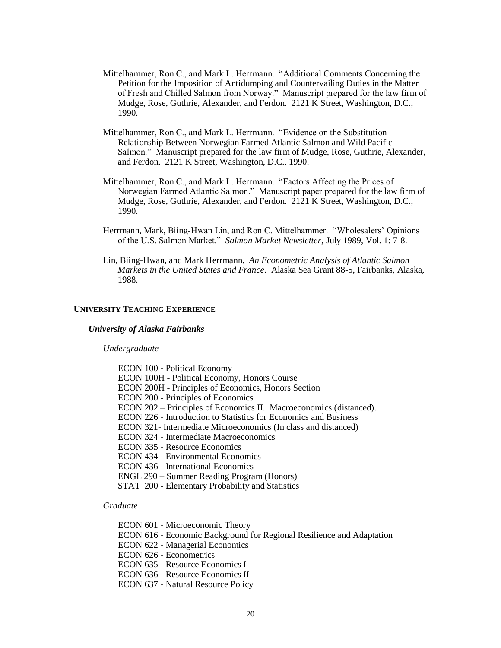- Mittelhammer, Ron C., and Mark L. Herrmann. "Additional Comments Concerning the Petition for the Imposition of Antidumping and Countervailing Duties in the Matter of Fresh and Chilled Salmon from Norway." Manuscript prepared for the law firm of Mudge, Rose, Guthrie, Alexander, and Ferdon. 2121 K Street, Washington, D.C., 1990.
- Mittelhammer, Ron C., and Mark L. Herrmann. "Evidence on the Substitution Relationship Between Norwegian Farmed Atlantic Salmon and Wild Pacific Salmon." Manuscript prepared for the law firm of Mudge, Rose, Guthrie, Alexander, and Ferdon. 2121 K Street, Washington, D.C., 1990.
- Mittelhammer, Ron C., and Mark L. Herrmann. "Factors Affecting the Prices of Norwegian Farmed Atlantic Salmon." Manuscript paper prepared for the law firm of Mudge, Rose, Guthrie, Alexander, and Ferdon. 2121 K Street, Washington, D.C., 1990.
- Herrmann, Mark, Biing-Hwan Lin, and Ron C. Mittelhammer. "Wholesalers' Opinions of the U.S. Salmon Market." *Salmon Market Newsletter*, July 1989, Vol. 1: 7-8.
- Lin, Biing-Hwan, and Mark Herrmann. *An Econometric Analysis of Atlantic Salmon Markets in the United States and France*. Alaska Sea Grant 88-5, Fairbanks, Alaska, 1988.

#### **UNIVERSITY TEACHING EXPERIENCE**

#### *University of Alaska Fairbanks*

#### *Undergraduate*

| <b>ECON 100 - Political Economy</b>                                |
|--------------------------------------------------------------------|
| <b>ECON 100H - Political Economy, Honors Course</b>                |
| ECON 200H - Principles of Economics, Honors Section                |
| <b>ECON 200 - Principles of Economics</b>                          |
| ECON 202 – Principles of Economics II. Macroeconomics (distanced). |
| ECON 226 - Introduction to Statistics for Economics and Business   |
| ECON 321- Intermediate Microeconomics (In class and distanced)     |
| ECON 324 - Intermediate Macroeconomics                             |
| <b>ECON 335 - Resource Economics</b>                               |
| <b>ECON 434 - Environmental Economics</b>                          |
| ECON 436 - International Economics                                 |
| ENGL 290 – Summer Reading Program (Honors)                         |
| STAT 200 - Elementary Probability and Statistics                   |
|                                                                    |

### *Graduate*

- ECON 601 Microeconomic Theory
- ECON 616 Economic Background for Regional Resilience and Adaptation
- ECON 622 Managerial Economics
- ECON 626 Econometrics
- ECON 635 Resource Economics I
- ECON 636 Resource Economics II
- ECON 637 Natural Resource Policy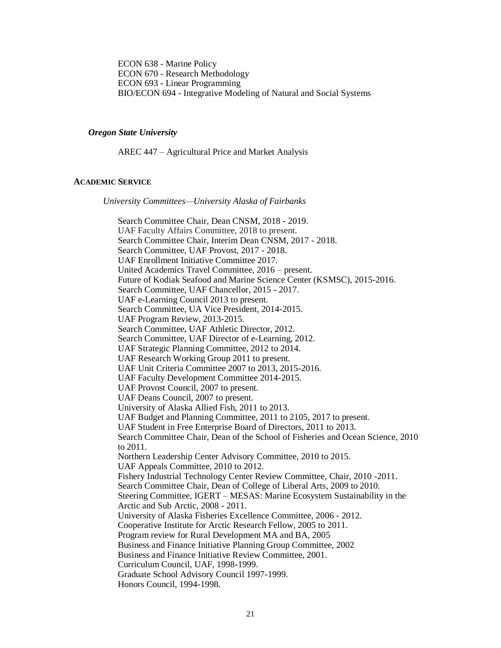ECON 638 - Marine Policy ECON 670 - Research Methodology ECON 693 - Linear Programming BIO/ECON 694 - Integrative Modeling of Natural and Social Systems

#### *Oregon State University*

AREC 447 – Agricultural Price and Market Analysis

### **ACADEMIC SERVICE**

*University Committees—University Alaska of Fairbanks*

Search Committee Chair, Dean CNSM, 2018 - 2019. UAF Faculty Affairs Committee, 2018 to present. Search Committee Chair, Interim Dean CNSM, 2017 - 2018. Search Committee, UAF Provost, 2017 - 2018. UAF Enrollment Initiative Committee 2017. United Academics Travel Committee, 2016 – present. Future of Kodiak Seafood and Marine Science Center (KSMSC), 2015-2016. Search Committee, UAF Chancellor, 2015 - 2017. UAF e-Learning Council 2013 to present. Search Committee, UA Vice President, 2014-2015. UAF Program Review, 2013-2015. Search Committee, UAF Athletic Director, 2012. Search Committee, UAF Director of e-Learning, 2012. UAF Strategic Planning Committee, 2012 to 2014. UAF Research Working Group 2011 to present. UAF Unit Criteria Committee 2007 to 2013, 2015-2016. UAF Faculty Development Committee 2014-2015. UAF Provost Council, 2007 to present. UAF Deans Council, 2007 to present. University of Alaska Allied Fish, 2011 to 2013. UAF Budget and Planning Committee, 2011 to 2105, 2017 to present. UAF Student in Free Enterprise Board of Directors, 2011 to 2013. Search Committee Chair, Dean of the School of Fisheries and Ocean Science, 2010 to 2011. Northern Leadership Center Advisory Committee, 2010 to 2015. UAF Appeals Committee, 2010 to 2012. Fishery Industrial Technology Center Review Committee, Chair, 2010 -2011. Search Committee Chair, Dean of College of Liberal Arts, 2009 to 2010. Steering Committee, IGERT – MESAS: Marine Ecosystem Sustainability in the Arctic and Sub Arctic, 2008 - 2011. University of Alaska Fisheries Excellence Committee, 2006 - 2012. Cooperative Institute for Arctic Research Fellow, 2005 to 2011. Program review for Rural Development MA and BA, 2005 Business and Finance Initiative Planning Group Committee, 2002 Business and Finance Initiative Review Committee, 2001. Curriculum Council, UAF, 1998-1999. Graduate School Advisory Council 1997-1999. Honors Council, 1994-1998.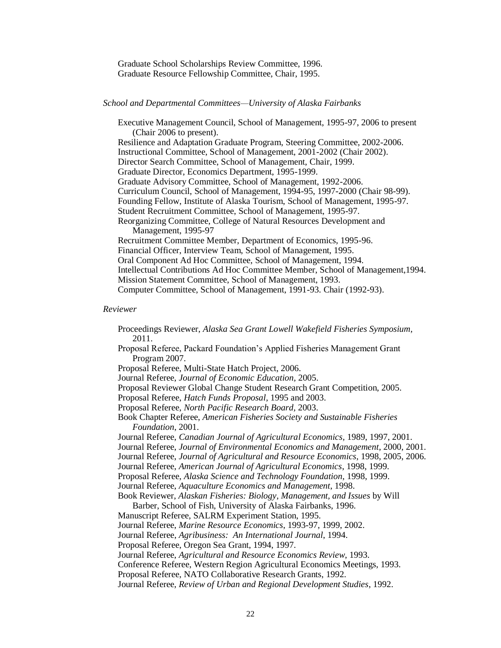Graduate School Scholarships Review Committee, 1996. Graduate Resource Fellowship Committee, Chair, 1995.

### *School and Departmental Committees—University of Alaska Fairbanks*

Executive Management Council, School of Management, 1995-97, 2006 to present (Chair 2006 to present). Resilience and Adaptation Graduate Program, Steering Committee, 2002-2006. Instructional Committee, School of Management, 2001-2002 (Chair 2002). Director Search Committee, School of Management, Chair, 1999. Graduate Director, Economics Department, 1995-1999. Graduate Advisory Committee, School of Management, 1992-2006. Curriculum Council, School of Management, 1994-95, 1997-2000 (Chair 98-99). Founding Fellow, Institute of Alaska Tourism, School of Management, 1995-97. Student Recruitment Committee, School of Management, 1995-97. Reorganizing Committee, College of Natural Resources Development and Management, 1995-97 Recruitment Committee Member, Department of Economics, 1995-96. Financial Officer, Interview Team, School of Management, 1995. Oral Component Ad Hoc Committee, School of Management, 1994. Intellectual Contributions Ad Hoc Committee Member, School of Management,1994. Mission Statement Committee, School of Management, 1993. Computer Committee, School of Management, 1991-93. Chair (1992-93).

#### *Reviewer*

Proceedings Reviewer, *Alaska Sea Grant Lowell Wakefield Fisheries Symposium,*  2011. Proposal Referee, Packard Foundation's Applied Fisheries Management Grant Program 2007. Proposal Referee, Multi-State Hatch Project, 2006. Journal Referee, *Journal of Economic Education,* 2005. Proposal Reviewer Global Change Student Research Grant Competition, 2005. Proposal Referee, *Hatch Funds Proposal,* 1995 and 2003. Proposal Referee, *North Pacific Research Board,* 2003. Book Chapter Referee, *American Fisheries Society and Sustainable Fisheries Foundation*, 2001. Journal Referee, *Canadian Journal of Agricultural Economics,* 1989, 1997, 2001. Journal Referee, *Journal of Environmental Economics and Management*, 2000, 2001. Journal Referee, *Journal of Agricultural and Resource Economics*, 1998, 2005, 2006. Journal Referee, *American Journal of Agricultural Economics*, 1998, 1999. Proposal Referee, *Alaska Science and Technology Foundation*, 1998, 1999. Journal Referee, *Aquaculture Economics and Management*, 1998. Book Reviewer, *Alaskan Fisheries: Biology, Management, and Issues* by Will Barber, School of Fish, University of Alaska Fairbanks, 1996. Manuscript Referee, SALRM Experiment Station, 1995. Journal Referee, *Marine Resource Economics*, 1993-97, 1999, 2002. Journal Referee, *Agribusiness: An International Journal*, 1994. Proposal Referee, Oregon Sea Grant, 1994, 1997. Journal Referee, *Agricultural and Resource Economics Review*, 1993. Conference Referee, Western Region Agricultural Economics Meetings, 1993. Proposal Referee, NATO Collaborative Research Grants, 1992. Journal Referee, *Review of Urban and Regional Development Studies*, 1992.